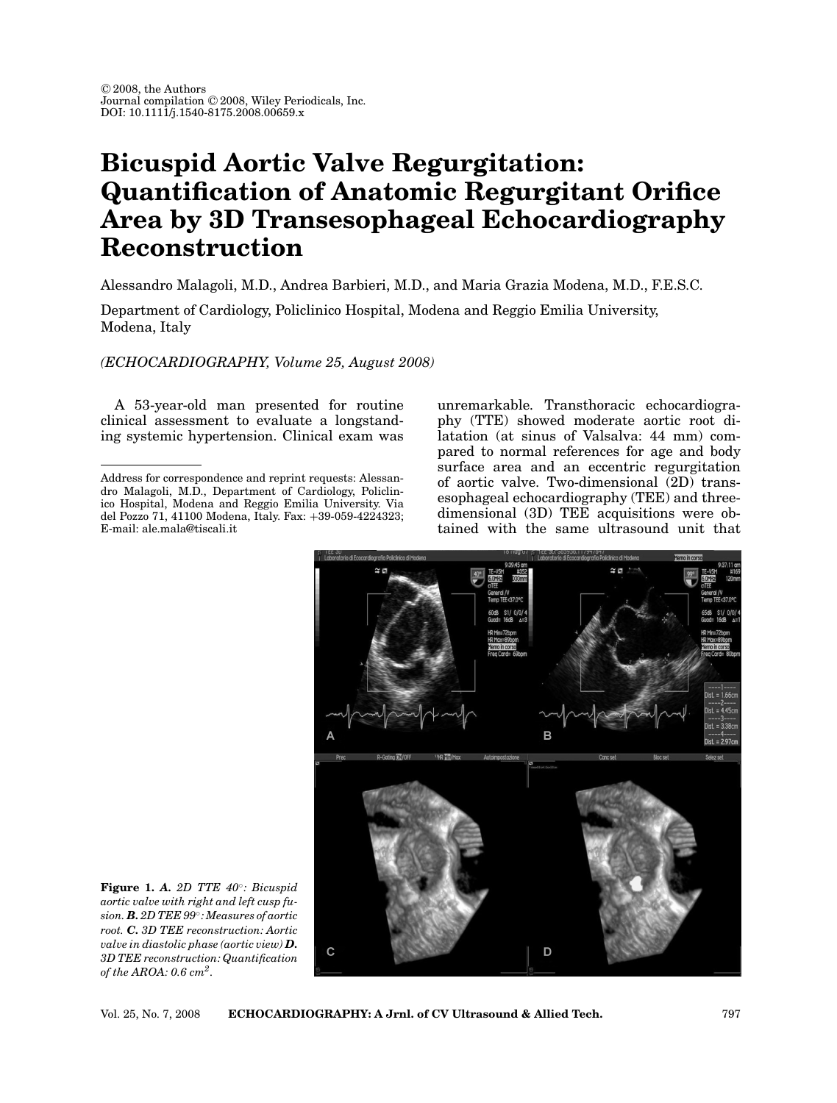## **Bicuspid Aortic Valve Regurgitation: Quantification of Anatomic Regurgitant Orifice Area by 3D Transesophageal Echocardiography Reconstruction**

Alessandro Malagoli, M.D., Andrea Barbieri, M.D., and Maria Grazia Modena, M.D., F.E.S.C.

Department of Cardiology, Policlinico Hospital, Modena and Reggio Emilia University, Modena, Italy

*(ECHOCARDIOGRAPHY, Volume 25, August 2008)*

A 53-year-old man presented for routine clinical assessment to evaluate a longstanding systemic hypertension. Clinical exam was

unremarkable. Transthoracic echocardiography (TTE) showed moderate aortic root dilatation (at sinus of Valsalva: 44 mm) compared to normal references for age and body surface area and an eccentric regurgitation of aortic valve. Two-dimensional (2D) transesophageal echocardiography (TEE) and threedimensional (3D) TEE acquisitions were obtained with the same ultrasound unit that



**Figure 1.** *A. 2D TTE 40*◦*: Bicuspid aortic valve with right and left cusp fusion. B. 2D TEE 99*◦*: Measures of aortic root. C. 3D TEE reconstruction: Aortic valve in diastolic phase (aortic view) D. 3D TEE reconstruction: Quantification of the AROA: 0.6 cm2.*

Address for correspondence and reprint requests: Alessandro Malagoli, M.D., Department of Cardiology, Policlinico Hospital, Modena and Reggio Emilia University. Via del Pozzo 71, 41100 Modena, Italy. Fax: +39-059-4224323; E-mail: ale.mala@tiscali.it